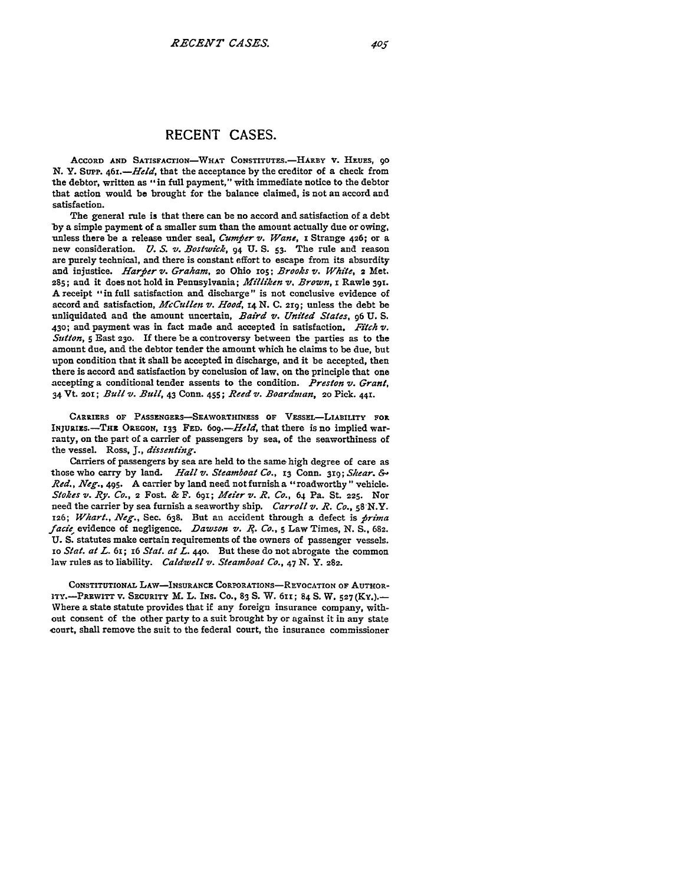## **RECENT CASES.**

ACCORD AND SATISFACTION-WHAT CONSTITUTES.-HARBY V. HEUES, 90 **N. Y. SuPP.** *46t.-Held,* that the **acceptance by the creditor of a check from** the debtor, written as "in full payment," with immediate notice to the debtor that action would be brought for the balance claimed, is not an accord and satisfaction.

The general rule is that there can be no accord and satisfaction of a debt **by** a simple payment of a smaller sum than the amount actually due or owing, unless there be a release under seal, *Cumfier v. Wane,* **z** Strange **426;** or a new consideration. *U. S. v. Bostwick*,  $\overline{94}$  U. S. 53. The rule and reason **are** purely technical, and there is constant effort to escape from its absurdity and injustice. *Harfier v,. Graham,* **20** Ohio **zos;** *Brooks z. White,* 2 Met. **285;** and it does not hold in Pennsylvania; *Milliken v. Brown, I* Rawle **391.** A receipt "in full satisfaction and discharge" is not conclusive evidence of accord and satisfaction, *McCullen v. Hood,* **I4 N. C. 2r9;** unless the debt be unliquidated and the amount uncertain, *Baird v. United States,* **96 U. S. 430;** and payment was in fact made and accepted in satisfaction. *Fitch V. Sutton,* **5** East **230.** If there be a controversy between the parties as to the amount due, and the debtor tender the amount which he claims to be due, but upon condition that it shall be accepted in discharge, and it be accepted, then there is accord and satisfaction **by** conclusion of law, on the principle that one accepting a conditional tender assents to the condition. *Preston V. Grant,* <sup>3</sup> <sup>4</sup>**Vt. 201;** *Bull v. Bull,* 43 Conn. 455; *Reed v. Boardman, 2o* Pick. **441.**

CARRIERS OF PASSENGERS-SEAWORTHINESS OF VESSEL-LIABILITY FOR **INJURIES.**-THE OREGON, 133 FED. 609.-Held, that there is no implied warranty, on the part of a carrier of passengers **by** sea, of the seaworthiness of the vessel. Ross, **J.,** *dissenting.*

Carriers of passengers **by** sea are held to the same high degree of care as those who carry **by** land. *Hall v. Steamboat Co.,* **13** Conn. **3i9;** *Shear. &' Red., Neg.,* 495. A carrier **by** land need not furnish a "roadworthy" vehicle. *Stokes v. Ry. Co.,* 2 **Fost. &** F. **691;** *Meier v. R. Co.,* 64 Pa. St. **225. Nor** need the carrier **by** sea furnish a seaworthy ship. *Carroll v. R. Co.,* **58 N.Y.** *126; Whart., Neg.,* Sec. **638.** But an accident through a defect is *jirima facie* evidence of negligence. *Dawson v. R. Co.*, 5 Law Times, N. S., 682. **U. S.** statutes make certain requirements of the owners of passenger vessels. *xo Slat. at L.* **6; I6** *Stat. at L. 44o.* But these do not abrogate the common law rules as to liability. *Caldwell v. Steamboat Co.,* 47 **N.** Y. **282.**

CONSTITUTIONAL LAW-INSURANCE CORPORATIONS-REVOCATION OF AUTHOR-**ITY.-PREWITT V. SECURITY M.** L. **INS. CO., 83 S.** W. 6ni; 84 **S.** W. **527 (Ky.).-** Where a state statute provides that if any foreign insurance company, without consent of the other party to a suit brought **by** or against it in any state court, shall remove the suit to the federal court, the insurance commissioner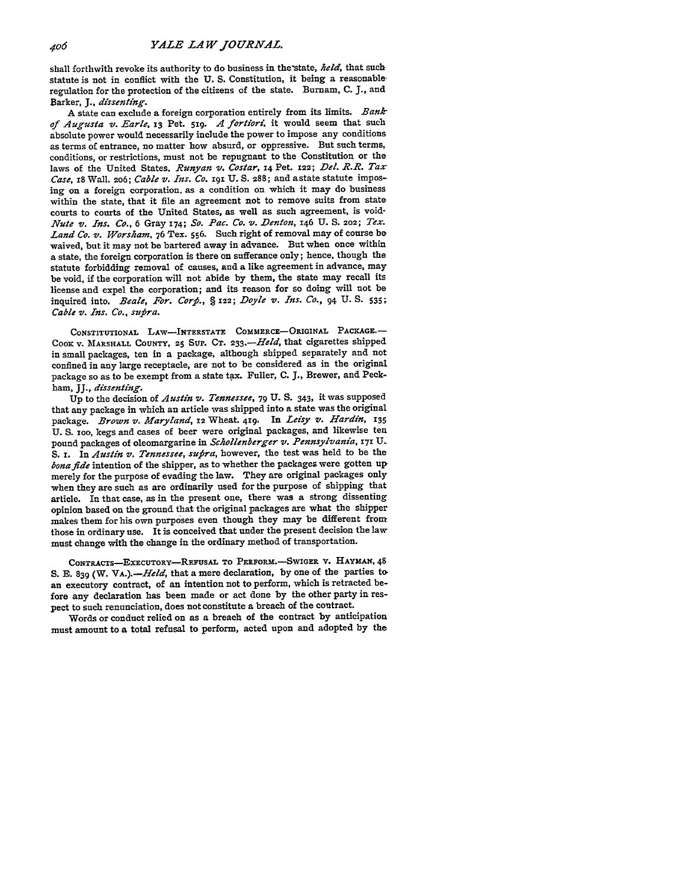shall forthwith revoke its authority to do business in the state, *held*, that such statute is not in conflict with the **U. S.** Constitution, it being a reasonable regulation for the protection of the citizens of the state. Burnam, **C. J.,** and Barker, *J., dissenting.*

A state can exclude a foreign corporation entirely from its limits. *Bank of Augusta v. Earle,* **13** Pet. **519.** *<sup>A</sup>*fortiori it would seem that such absolute power would necessarily include the power to impose any conditions as terms of entrance, no matter how absurd, or oppressive. But such terms, conditions, or restrictions, must not be repugnant to the Constitution or the laws of the United States, *Runyan v. Costar,* **14** Pet. 12s; *Del. R.R. Tar Case,* 18 Wall. 206; *Cable v. Ins. Co.* **19r U. S.** 288; and astate statute imposing on a foreign corporation, as a condition on which it may do business within the state, that it file an agreement not to remove suits from state courts to courts of the United States, as **well** as such agreement, is void-*Nute v. Ins. Co.,* 6 Gray x74; *So. Pac. Co. v. Denton,* 146 **U. S. 202;** *Tex. Land Co. v. Worsham,* 76 Tex. **556.** Such right of removal may of course be waived, but it may not be bartered away in advance. But when once within a state, the foreign corporation is there on sufferance only; hence, though the statute forbidding removal of causes, and a like agreement in advance, may be void, if the corporation will not abide **by** them, the state may recall its license and expel the corporation; and its reason for so doing will not be inquired into. *Beale, For. Corfi., § 122; Doyle v. Ins. Co.,* 94 **U. S. 535;** *Cable v. Ins. Co., sutpra.*

**CONSTITUTIONAL** LAW-INTERSTATE COMMERCE-ORIGINAL **PACKAGE.- COOK** V. **MARSHALL COUNTY,** 25 **SUP. CT.** *23 3.-Held,* that cigarettes shipped in small packages, ten in a package, although shipped separately and not confined in any large receptacle, are not to **be** considered as in the original package so as to be exempt from a state tax. Fuller, **C. J.,** Brewer, and Peckham, JJ., *dissenting.*

**Up** to the decision of *Austin v. Tennessee,* **79 U. S.** 343, it was supposed that any package in which an article was shipped into a state was the original package. *Brown v. Maryland*, 12 Wheat. 419. In Leisy v. Hardin, 135 **U. S. 1oo,** kegs and cases of beer were original packages, and likewise ten pound packages of oleomargarine in *Schollenberger v. Pennsylvania,* **17r** U. S. I. In *Austin v. Tennessee, supra*, however, the test was held to be the *bonafide* intention of the shipper, as to whether the packages were gotten up merely for the purpose of evading the law. They are original packages only when they are such as are ordinarily used for the purpose of shipping that article. In that case, as in the present one, there was a strong dissenting opinion based on the ground that the original packages are what the shipper makes them for his own purposes even though they may be different from those in ordinary use. It is conceived that under the present decision the law must change with the change in the ordinary method of transportation.

CONTRACTS-EXECUTORY-REFUSAL **TO PERFORM.-SwIGER** v. **HAYMAN, 48 S.** E. **839** (W. *VA.).-Held,* that a mere declaration, **by** one of the parties **to,** an executory contract, of an intention not to perform, which is retracted before any declaration has been made or act done **by** the other party in respect to such renunciation, does not constitute a breach of the coutract.

Words or conduct relied on as a breach of the contract **by** anticipation must amount to a total refusal to perform, acted upon and adopted **by** the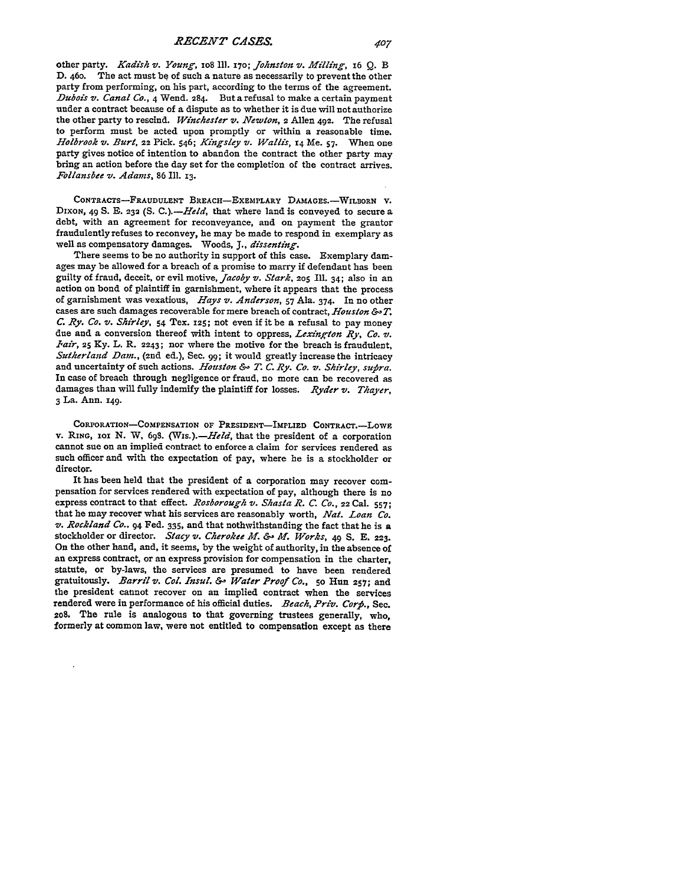other party. *Kadish v. Young,* **xo8 Ill.** *170; Johnston v. Milling,* 16 **Q.** B D. 46o. The act must **be** of such a nature as necessarily to prevent the other party from performing, on his part, according to the terms of the agreement. *.Dubois v. Canal CO.,* 4 Wend. **284.** But a refusal to make a certain payment under a contract because of a dispute as to whether it is due will not authorize the other party to rescind. *Winchester v. Newton,* 2 Allen **492.** The refusal to perform must be acted upon promptly or within a reasonable time. *Holbrook v. Burt,* 22 Pick. 546; *Kingsley v. Wallis,* x4 Me. **57-** When one party gives notice of intention to abandon the contract the other party may bring an action before the day set for the completion of the contract arrives. *Follansbee v. Adams,* 86 Ill. **13.**

**CONTRACTS-FRAUDULENT** BREACH-EXEMPLARY DAMAGEs.-WILBORN V. **DIXON,** 49 **S. E. 232 (S.** *C.).-Held,* that where land is conveyed to secure a debt, with an agreement for reconveyance, and on payment the grantor fraudulently refuses to reconvey, he may **be** made to respond in exemplary as well as compensatory damages. Woods, **J.,** *dissenting.*

There seems to be no authority in support of this case. Exemplary damages may be allowed for a breach of a promise to marry if defendant has been guilty of fraud, deceit, or evil motive, *Jacoby v. Stark, 205* **Ill.** 34; also in an action on bond of plaintiff in garnishment, where it appears that the process of garnishment was vexatious, *Hays v. Anderson,* **57** Ala. 374. In no other cases are such damages recoverable for mere breach of contract, *Houston & T. C. Ry. Co. v. Shirley,* 54 Tex. **125;** not even if it be a refusal to pay money due and a conversion thereof with intent to oppress, *Lexington Ry, Co. v. Pair,* 25 **Ky.** L. R. **2243;** nor where the motive for the breach is fraudulent, *Sutherland Dam.,* (2nd ed.), Sec. 99; it would greatly increase the intricacy and uncertainty of such actions. *Houston &- T. C. Ry. Co. v. Shirley, supra.* In case of breach through negligence or fraud, no more can be recovered as damages than will fully indemify the plaintiff for losses. *Ryder v. Thayer,* 3 La. Ann. **149.**

**CORPORATION-COMPENSATION OF** PRESIDENT-IMPLIED **CONTRACT.-LowE v.** RING, **io N. W, 693.** *(Ws.).-Held,* that the president of a corporation cannot sue on an implied contract to enforce a claim for services rendered as such officer and with the expectation of pay, where he is a stockholder or director.

It has been held that the president of a corporation may recover compensation for services rendered with expectation of pay, although there is no express contract to that effect. *Rosborough v. Shasta R. C. Co.,* **22** Cal. **557;** that he may recover what his services are reasonably worth, *Nat. Loan Co. v. Rockland Co..* **94** Fed. 335, and that nothwithstanding the fact that he is a stockholder or director. *Stacy v. Cherokee Jlf. & M Works,* 49 **S.** E. **223.** On the other hand, and, it seems, by the weight of authority, in the absence of an express contract, or an express provision for compensation in the charter, statute, or by-laws, the services are presumed to have been rendered gratuitously. *Barril v. Col. Insul. &.- Water Proof Co.,* 5o Hun **257;** and the president cannot recover on an implied contract when the services rendered were in performance of his official duties. *Beach, Priv. Corfi.,* Sec. 2o8. The rule is analogous to that governing trustees generally, who, formerly at common law, were not entitled to compensation except as there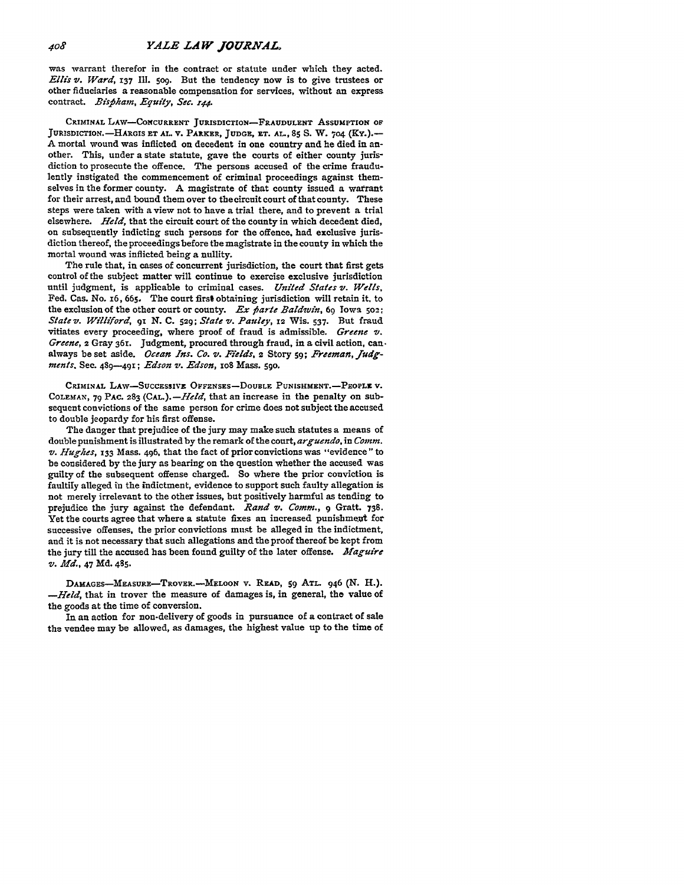was warrant therefor in the contract or statute under which they acted. *Ellis v. Ward, 137* **Ill.** 5og. But the tendency now is to give trustees or other fiduciaries a reasonable compensation for services, without an express contract. *Bispham, Equity, Sec. z44.*

CRIMINAL LAW-CONCURRENT JURISDICTION-FRAUDULENT ASSUMPTION OF JURISDICTION.--HARGIS **ET AL.** V. PARKER, JUDGE, ET. **AL., 85 S.** W. 704 **(KY.).-- A** mortal wound was inflicted on decedent in one country and he died in another. This, under a state statute, gave the courts of either county jurisdiction to prosecute the offence. The persons accused of the crime fraudulently instigated the commencement of criminal proceedings against themselves in the former county. A magistrate of that county issued a warrant for their arrest, and bound them over to the circuit court of that county. These steps were taken with a view not to have a trial there, and to prevent a trial elsewhere. *Held*, that the circuit court of the county in which decedent died, on subsequently indicting such persons for the offence, had exclusive jurisdiction thereof, the proceedings before **the** magistrate in the county in which the mortal wound was inflicted being a nullity.

The rule that, in cases of concurrent jurisdiction, the court that first gets control of the subject matter will continue to exercise exclusive jurisdiction until judgment, is applicable to criminal cases. *United States v. Wells.* Fed. Cas. No. **i6,** 665. The court first obtaining jurisdiction will retain it, to the exclusion of the other court or county. *Ex parte Baldwin*, 69 Iowa 502: *State v. Williford, 91* **N. C.** 529; *State* v. *Pauley,* 12 Wis. 537. But fraud vitiates every proceeding, where proof of fraud is admissible. *Greene v. Greene,* 2 Gray 36r. Judgment, procured through fraud, in a civil action, canalways beset aside. *Ocean Ins. Co. v. Fields,* 2 Story 59; *Freeman, judgments.* See. 489-491; *Edson z. Edson,* io8 Mass. 59o.

CRIMINAL LAW-SUCCESSIVE OFFENSES-DOUBLE PUNISHMENT.-PEOPLE V. COLEMAN, **79 PAC. 283** (CAL.). *-Held,* that an increase in the penalty on subsequent convictions of the same person for crime does not subject the accused to double jeopardy for his first offense.

The danger that prejudice of the jury may make such statutes a means of double punishment is illustrated **by** the remark of the court, *arguendo,* in *Comm. v. Hughes*, 133 Mass. 496, that the fact of prior convictions was "evidence" to be considered **by** the jury as bearing on the question whether the accused was guilty of the subsequent offense charged. So where the prior conviction is faultily alleged in the indictment, evidence to support such faulty allegation is not merely irrelevant to the other issues, **but** positively harmful as tending to prejudice the jury against the defendant. *Rand v. Comm.*, 9 Gratt. **738**. Yet the courts agree that where a statute fixes an increased punishment for successive offenses, the prior convictions must be alleged in the indictment, and it is not necessary that such allegations and the proof thereof be kept from the jury till the accused has been found guilty of the later offense. *Maguire v. Mfd.,* 47 **Md.** 485.

**DAMAGES-MEASURE-TROVER.--MELOON** v. READ, **59 ATL.** 946 **(N.** H.). *-Held,* that in trover the measure of damages is, in general, the value of the goods at the time of conversion.

In an action for non-delivery of goods in pursuance of a contract of sale the vendee may be allowed, as damages, the highest value up to the time of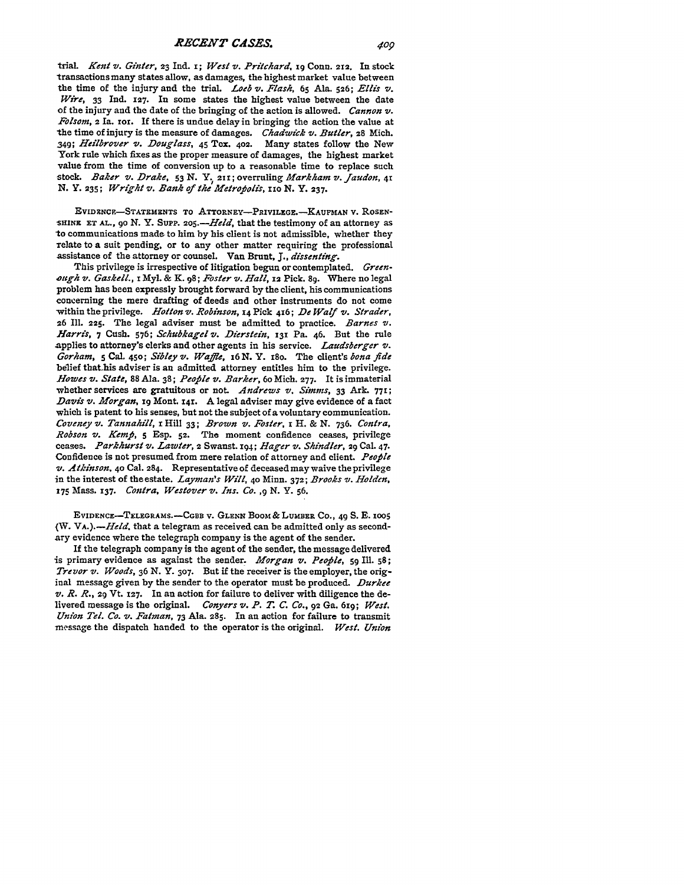## *RECENT CASES.*

trial. *Kent v. Ginter, 23 Ind. 1; West v. Pritchard, 19 Conn. 212. In stock* transactions many states allow, as damages, the highest market value between the time of the injury and the trial. *Loeb v. Flash*,  $65$  Ala. 526; *Ellis v. Wire,* **33** Ind. **127.** In some states the highest value between the date of the injury and the date of the bringing of the action is allowed. *Cannon v. Folsom,* 2 Ia. **tor.** If there is undue delay in bringing the action the value at the time of injury is the measure of damages. *Chadwick v'. Butler,* **28** Mich. *349; Heilbrover v. Douglass,* **45** Tex. 402. Many states follow the New York rule which fixes as the proper measure of damages, the highest market value from the time of conversion up to a reasonable time to replace such stock. *Baker v. Drake,* **53 N.** Y. **211;** overruling *Markham v.. Jaudon, 41* **N. Y. 235;** *Wright v'. Bank of the Metrofolis, iio* **N.** Y. **237.**

**EVIDZNCF-STATEMENTS** To ATTORNEY-PRIVILEGE.-KAuFMAN v. **ROSEN-**SHINE ET AL., 90 N. Y. SUPP. 205.-*Held*, that the testimony of an attorney as 'to communications made to him **by** his client is not admissible, whether they relate to a suit pending, or to any other matter requiring the professional assistance of the attorney or counsel. Van Brunt, *J., dissenting.*

This privilege is irrespective of litigation begun or contemplated. *Greenough vz. Gaskell., z* **Myl. &** K. **98;** *Foster v. Hall,* 12 Pick. **89.** Where no legal problem has been expressly brought forward **by** the client, his communications concerning the mere drafting of deeds and other instruments do not come -within the privilege. *Hoton 71. Robinson,* **14** Pick 416; *De Waf vt. Strader,* 26 **Ill. 225.** The legal adviser must be admitted to practice. *Barnes vt. Harris,* 7 Cush. **576;** *Schubkagel 71. Dierstein,* **131** Pa. 46. But the rule applies to attorney's clerks and other agents in his service. *Laudsberger 71. Gorham,* **5** Cal. **450;** *Sibley 71. Waffle, 16* **N.** Y. t8o. The client's *bona fide* belief that.his adviser is an admitted attorney entitles him to the privilege. *Howes 71. State,* 88 Ala. **38;** *People v1. Barker, 6o* Mich. **277.** It is immaterial whether services are gratuitous or not. Andrews v. Simms, 33 Ark. 771; *Davis vt. Morgan,* **19** Mont. **14<sup>r</sup> .** A legal adviser may give evidence of a fact which is patent to his senses, but not the subject of a voluntary communication. *Coveney 71. Tannahi'll,* **i** Hill **33;** *Brown vt. Foster,* x H. & **N. 736,** *Contra, Robson vt. Kempi, 5* Esp. **52.** The moment confidence ceases, privilege ceases. *Parkhurst v. Lawter,* 2 Swanst. 194; *E-lager v1. Shindler,* **29** Cal. 47. Confidence is not presumed from mere relation of attorney and client. *People* **it.** *Atkinson.* **40** Cal. 284. Representative of deceased may waive the privilege in the interest of the estate. *Layman's Will,* **4o** Minn. **372;** *Brooks v. Holden,* **<sup>175</sup>**Mass. **137.** *Contra, Westover vt. Ins. Co. ,9* **N.** Y. **56.**

EVIDENCE-TELEGRAMS.-CGBB **V. GLENN** BooM **&** LUMBER **CO.,** 49 **S. E.** zoo5 *(W. VA.).-Held.* that a telegram as received can be admitted only as secondary evidence where the telegraph company is the agent of the sender.

If the telegraph company is the agent of the sender, the message delivered is primary evidence as against the sender. *Morgan vt. Peofile,* **sg Ill. 58;** *Trevor v. Woods*, 36 N. Y. 307. But if the receiver is the employer, the original message given **by** the sender to the operator must be produced. *Durkee Vt. R. R.,* **29** Vt. **127.** In an action for failure to deliver with diligence the delivered message is the original. *Conyers vt. P. T. C. Co.,* 92 Ga. 619; *West. Union Tel. Co.* **v.** *Fatman,* **73** Ala. **285.** In an action for failure to transmit message the dispatch handed to the operator is the original. *West. Union*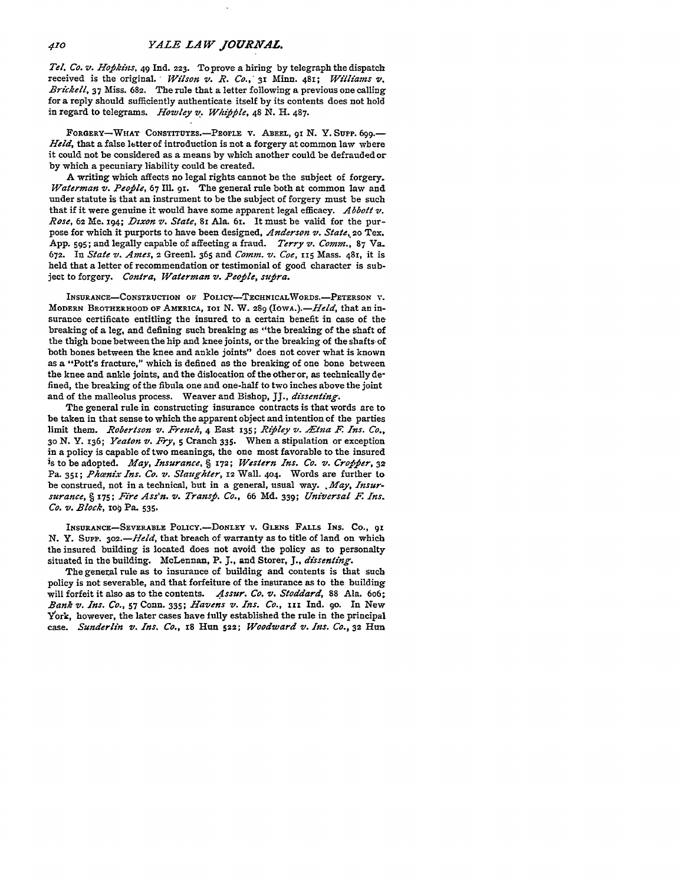*Tel. Co. v. Hofihins,* 49 **Ind. 223.** To prove a hiring **by** telegraph the dispatch received is the original. *Wilson v. R. Co.*, 31 Minn. 481; *Williams v. Brichell,* **37** Miss. **682.** The rule that a letter following a previous one calling for a reply should sufficiently authenticate itself **by** its contents does not hold in regard to telegrams. *Howley v. Whifile,* 48 **N. H.** 487.

**FORGERY-WHAT CONSTITUTES.-PEOPLE** v. **ABEEL, gi N.** Y. Supp. **699.-** *Held,* that a false letter of introduction is not a forgery at common law where it could not be considered as a means **by** which another could be defrauded or **by** which a pecuniary liability could be created.

A writing which affects no legal rights cannot be the subject of forgery. *Waterman v. People*, 67 Ill. 91. The general rule both at common law and under statute is that an instrument to be the subject of forgery must be such that if it were genuine it would have some apparent legal efficacy. *Abbott v. Rose,* **62** Me. 194; *Dixon v. State,* **8i** Ala. 61. It must be valid for the purpose for which it purports to have been designed, *Anderson v. State, 20* Tex. **App.** 59s; and legally capable of affecting a fraud. *Terry v. Comm.,* **87** Va. **672.** In *State v. Ames,* 2 Greenl. *365* and *Comm. v. Coe,* **115** Mass. 48r, it is held that a letter of recommendation or testimonial of good character is subject to forgery. *Contra, Waterman v. Peofile, sufira.*

**INSURANCE-CONsTRUCTION OF POLICY-TECHNICALWORDS.-PETRSON V.** MODERN **BROTHERHOOD OF** AMERICA, **ioi N.** W. **289** *(IowA.).-Held,* that an insurance certificate entitling the insured to a certain benefit in case of the breaking of a leg, and defining such breaking as "the breaking of the shaft of the thigh bone between the hip and knee joints, or the breaking of the shafts of both bones between the knee and ankle joints" does not cover what is known as a "Pott's fracture," which is defined as the breaking of one bone between the knee and ankle joints, and the dislocation of the other or, as technically defined, the breaking of the fibula one and one-half to two inches above the joint and of the malleolus process. Weaver and Bishop, **JJ.,** *dissenting.*

The general rule in constructing insurance contracts is that words are to be taken in that sense to which the apparent object and intention **of** the parties limit them. *Robertson v. French,* 4 East **135;** *Rifiley v. Etna F. Ins. Co., 3o* **N.** Y. 136; *Yeaton v. Fry, 5* Cranch 335. When a stipulation or exception in a policy is capable of two meanings, the one most favorable to the insured is to be adopted. *May, Insurance, § 172; Western Ins. Co. v. Crofjfer, <sup>32</sup>* Pa. 351; *Phænix Ins. Co. v. Slaughter*, 12 Wall. 404. Words are further to be construed, not in a technical, but in a general, usual way. .*May, Insursurance, §* **175;** *Fire Ass'n. v. Transfb. Co.,* 66 **Md.** 339; *Universal F. Ins. Co. v. Block,* io§ Pa. 535.

**INSURANCE-SEVERABLE POLICY.-DONLEY v. GLENS FALLS INS. CO., 91** N. Y. Supp. 302.-*Held*, that breach of warranty as to title of land on which the insured building is located does not avoid the policy as to personalty situated in the building. McLennan, P. **J.,** and Storer, **J.,** *dissenting.*

The general rule as to insurance of building and contents is that such policy is not severable, and that forfeiture of the insurance as to the building will forfeit it also as to the contents. *Assur. Co. v. Stoddard,* 88 Ala. 6o6; *Bank v. Ins. Co.,* 57 Conn. 335; *Havens v. Ins. Co.,* **xII** Ind. **go.** In New York, however, the later cases have fully established the rule in the principal case. *Sunderlin v. Ins. Co.,* **x8** Hun 522; *Woodward v. Ins. Co.,* **32** Hun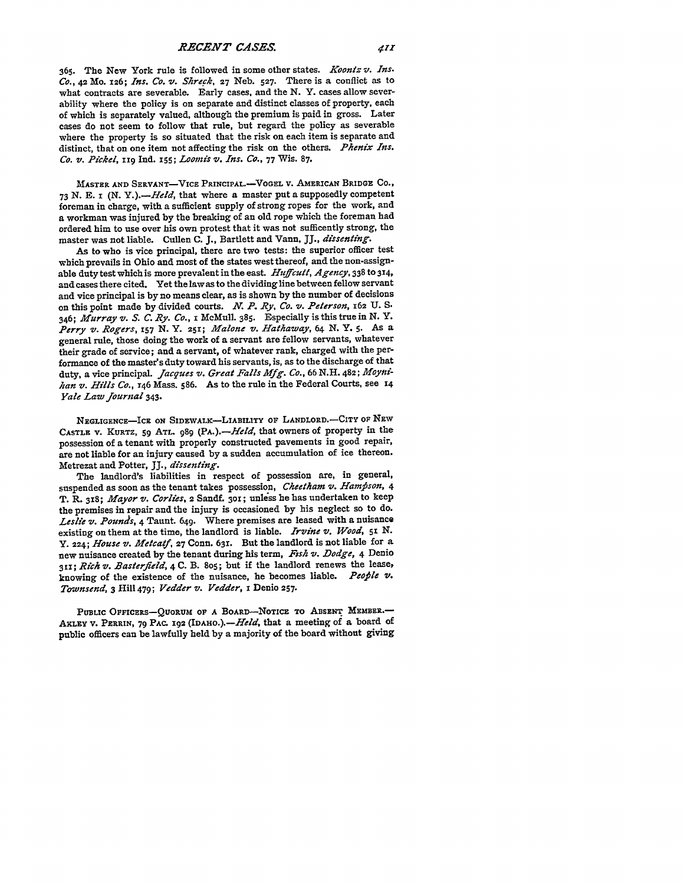**365.** The New York rule is followed in some other states. *Koontz v. Ins. Co.,* **42** Mo. **126;** *Ins. Co. v. Shreck,* **27** Neb. **527.** There is a conflict as to what contracts are severable. Early cases, and the **N.** Y. cases allow severability where the policy is on separate and distinct classes of property, each of which is separately valued, although the premium is paid in gross. Later cases do not seem to follow that rule, but regard the policy as severable where the property is so situated that the risk on each item is separate and distinct, that on one item not affecting the risk on the others. *Phenix Ins. Co. v. Picket,* **ii <sup>9</sup>**Ind. **I55;** *Loolnis v. Ins. Co.,* 77 Wis. 87.

**MASTER AND SERVANT-VICE PRINCIPAL.-VOGEL V. AMERICAN BRIDGE Co., 73 N. E. I** *(N. Y.).-Held,* that where a master put a supposedly competent foreman in charge, with a sufficient supply of strong ropes for the work, and a workman was injured **by** the breaking of an old rope which the foreman had ordered him to use over his own protest that it was not sufficently strong, the master was not liable. Cullen **C. J.,** Bartlett and Vann, **JJ.,** *dissenting.*

As to who is vice principal, there are two tests: the superior officer test which prevails in Ohio and most of the states west thereof, and the non-assignable duty test which is more prevalent in the east. Huffcutt, Agency, 338 to 314, and cases there cited. Yet the lawas to the dividing line between fellow servant and vice principal is **by** no means clear, as is shown **by** the number of decisions on this point made **by** divided courts. *N. P. Ry. Co. v. Peterson,* **162** U. S. 346; *Murray v. S. C. Ry. Co.,* x McMull. 385. Especially is this true in **N.** Y. *Perry v. Rogers, 157* **N.** Y. **251;** *Malone v. Hathaway, 64* **N.** Y. **5.** As a general rule, those doing the work of a servant are fellow servants, whatever their grade of service; and a servant, of whatever rank, charged with the performance of the master's duty toward his servants, is, as to the discharge of that duty, a vice principal. *Jacgues v. Great Falls Mfg. Co.,* 66 N.H. 482; *MOyftihan v. Hills Co.,* 146 Mass. 586. As to the rule in the Federal Courts, see **<sup>14</sup>** *Yale Law Journal* 343.

**NEGLIGENCE-ICE ON SIDEWALK-LIABILITY OF LANDLORD.-CITY OF NEw** CASTLE V. KURTZ, 59 ATL. 989 (PA.). - Held, that owners of property in the possession of a tenant with properly constructed pavements in good repair, are not liable for an injury caused **by** a sudden accumulation of ice thereon. Metrezat and Potter, JJ., *dissenting.*

The landlord's liabilities in respect of possession are, in general, suspended as soon as the tenant takes possession, *Cheetham v. Hampson*, 4 T. R. 318; *Mayor v. Corlies,* **2** Sandf. **3o;** unless he has undertaken to keep the premises in repair and the injury is occasioned **by** his neglect so to do. *Leslie v. Pounds,* 4 Taunt. 649. Where premises are leased with a nuisance existing on them at the time, the landlord is liable. *Irvine v. Wood*, 51 N. Y. **224;** *House v. Metcatf,* **27** Conn. 631. But the landlord is not liable for a new nuisance created **by** the tenant during his term, *Fish v. Dodge,* 4 Denio **31;** *Rich v. Basterfield,* 4 **C.** B. 8o5; but if the landlord renews the lease, knowing of the existence of the nuisance, he becomes liable. *People v*. *Townsend,* 3 Hill 479; *Vedder v. Vedder,* I Denio **257.**

PUBLIC OFFICERS-QUORUM OF A BOARD-NOTICE TO ABSENT MEMBER.-AKLEY V. PERRIN, 79 PAC. 192 (IDAHO.).— *Held*, that a meeting of a board of public officers can be lawfully held **by** a majority of the board without giving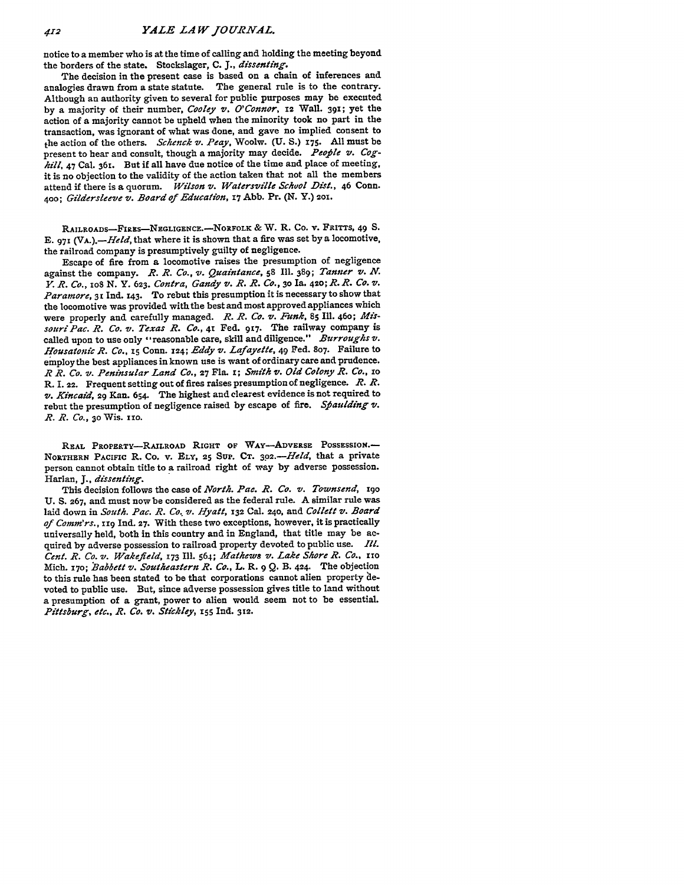notice to a member who is at the time of calling and holding the meeting beyond the borders of the state. Stockslager, **C. J.,** *dissenting.*

The decision in the present case is based on a chain of inferences and analogies drawn from a state statute. The general rule is to the contrary. Although an authority given to several for public purposes may be executed **by** a majority of their number, *Cooley v. O'Connor,* **12** Wall. **39T;** yet the action of a majority cannot be upheld when the minority took no part in the transaction, was ignorant of what was done, and gave no implied consent to the action of the others. *Schenck v. Peay,* Woolw. **(U. S.) 175. All** must be present to hear and consult, though a majority may decide. People v. Cog*hill,* 47 Cal. 361. But if all have due notice of the time and place of meeting, it is no objection to the validity of the action taken that not all the members attend if there is a quorum. *Wilson v. Watersville School Dist.*, 46 Conn. **400;** *Gildersleeve v. Board of Education,* **17 Abb.** Pr. (N. Y.) **201.**

RAILROADS-FIRES-NEGLIGENCE.-NORFOLK & W. R. Co. v. FRITTS, 49 S. **E.** 971 *(VA.).-Held,* that where it is shown that a fire was set **by** a locomotive, the railroad company is presumptively guilty of negligence.

Escape of fire from a locomotive raises the presumption of negligence against the company. *R. R. Co., v,. Quaintance,* **58 Ill 389;** *Tanner v'. N. Y. R. Co., io8* **N.** Y. **623.** *Contra, Gandy v. R. R. Co.,* **30 Ia. 420;.R.** *R. Co. V. Paramore, 31 nd.* **143.** To rebut this presumption it is necessary to show that the locomotive was provided with the best and most approved appliances which were properly and carefully managed. *R. R. Co. v. Funk,* **85 Ill.** 460; *Missouri Pac. R. Co. v. Texas R. Co.,* **41** Fed. **917.** The railway company is called upon to use only "reasonable care, skill and diligence." *Burroughs v. Housatonic R. Co.,* **z5** Conn. **124;** *Eddy v'. Lafayette,* 49 Fed. **807.** Failure to employ the best appliances in known use is want of ordinary care and prudence. *R R. Co. v. Peninsular Land Co.,* **27** Fla. I; *Smith v. Old Colony R. Co.,* zo R. I. **22.** Frequent setting out of fires raises presumption of negligence. *R.R. v. Kincaid,* 29 Kan. 654. The highest and clearest evidence is not required to rebut the presumption of negligence raised by escape of fire. *Sfaulding vi. R. R. Co.,* **30** Wis. 1io.

REAL PROPERTY-RAILROAD RIGHT OF WAY-ADVERSE POSSESSION.-**NORTHERN PACIFIc** R. Co. **v.** ELY, **25 SUP. CT.** *3o2.-Held,* that a private person cannot obtain title to a railroad right of way **by** adverse possession. Harlan, *J., dissenting.*

This decision follows the case of *North. Pae. R. Co. v. Townsend,* igo **U. S. 267,** and must now be considered as the federal rule. A similar rule was laid down in *South. Pac. R. Co, v. Hyatt,* **132** Cal. **240,** and *Collett v. Board of Comm'rs.,* **i19 Ind. 27.** With these two exceptions, however, it is practically universally held, both in this country and in England, that title may be acquired **by** adverse possession to railroad property devoted to public use. *Ill. Cent. R. Co. v. Wakefield, 173* Ill. 564; *Mathews v. Lake Shore R. Co.,* **zrio** Mich. *r7o; "Babbet v. Southeastern R. Co.,* L. R. 9 **Q.** B. 424. The objection to this rule has been stated to be that corporations cannot alien property devoted to public use. But, since adverse possession gives title to land without a presumption of a grant, power to alien would seem not to be essential. *Pittsburg, etc., R. Co. v. Stickley,* **x55** Ind. **312.**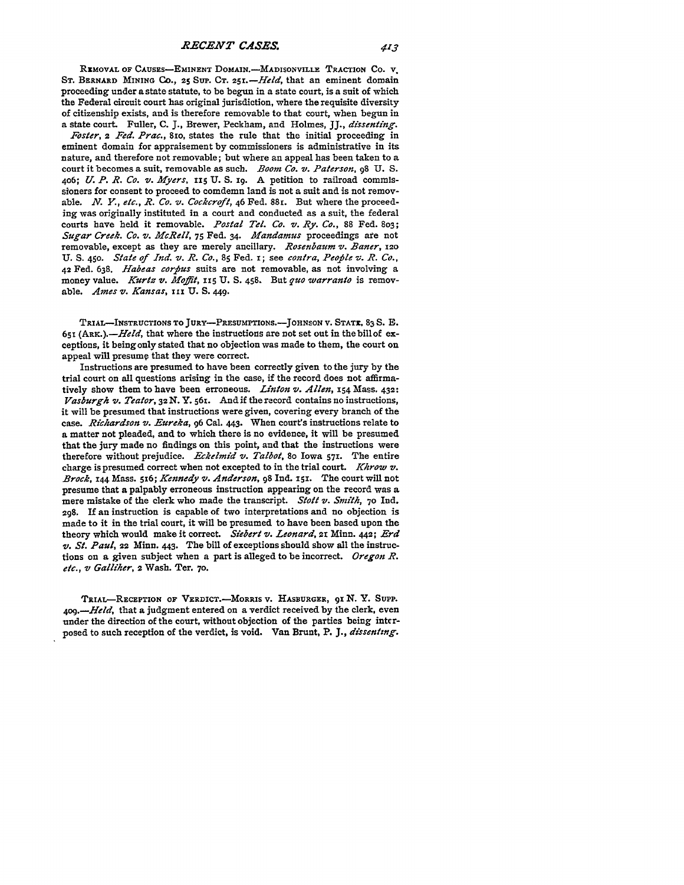REMOVAL OF CAUSES-EMINENT DOMAIN.-MADISONVILLE TRACTION CO. V. ST. BERNARD MINING Co., 25 SUP. CT. 251. - Held, that an eminent domain proceeding under a state statute, to be begun in a state court, is a suit of which the Federal circuit court has original jurisdiction, where the requisite diversity of citizenship exists, and is therefore removable to that court, when begun in a state court. Fuller, **C. J.,** Brewer, Peckham, and Holmes, **JJ.,** *dissenting.*

*Foster, 2 Fed. Prac.,* **8ro,** states the rule that the initial proceeding in eminent domain for appraisement **by** commissioners is administrative in its nature, and therefore not removable; but where an appeal has been taken to a court it becomes a suit, removable as such. *Boom Co. v. Paterson,* 98 **U. S. 406;** *U. P. R. Co. v. Myers,* 115 **U. S. 1g.** A petition to railroad commissioners for consent to proceed to comdemn land is not a suit and is not removable. *N. Y., etc., R. Co. v. Cockcroft,* 46 Fed. 88r. But where the proceeding was originally instituted in a court and conducted as a suit, the federal courts have held it removable. *Postal Tel. Co. v. Ry. Co.,* **88** Fed. 803; *Sugar Creek. Co. v. McRell,* **75** Fed. 34. *Mandamus* proceedings ate not removable, except as they are merely ancillary. *Rosenbaum v. Baner, <sup>120</sup>* U. **S. 450.** *State of Ind. v. R. Co.,* **85** Fed. I; see *contra, Peoile v. R. Co.,* **42** Fed. **638.** *Habeas corfius* suits are not removable, as not involving a money value. *Kurtz v. Moffit*, 115 U. S. 458. But *quo warranto* is removable. *Ames t. Kansas,* **tii U. S. 449.**

**TRIAL-INSTRUCTIONS TO JURY-PRESUMPTIONS.-JOHNSON V. STATE, 83 S. E. 651** (ARK.).-Held, that where the instructions are not set out in thebillof exceptions, it being only stated that no objection was made to them, the court on appeal will presume that they were correct.

Instructions are presumed to have been correctly given to the jury **by** the trial court on all questions arising in the case, if the record does not affirmatively show them to have been erroneous. *Linton v. Allen*, **154** Mass. 432: *Vasburgh v. Yeator,* 32 N. **Y.** *56i.* And if the record contains no instructions, it will be presumed that instructions were given, covering every branch of the case. *Richardson v. Eureka,* **96** Cal. 443. When court's instructions relate to a matter not pleaded, and to which there is no evidence, it will be presumed that the jury made no findings on this point, and that the instructions were therefore without prejudice. *Eckelmid v'. Talbot,* 8o Iowa **571.** The entire charge is presumed correct when not excepted to in the trial court. *Khrow v'. Brock,* 144 Mass. 516; *Kennedy v. Anderson*, 98 Ind. 151. The court will not presume that a palpably erroneous instruction appearing on the record was a mere mistake of the clerk who made the transcript. *Stott v. Smith,* **70** Ind. 298. If an instruction is capable of two interpretations and no objection is made to it in the trial court, it will be presumed to have been based upon the theory which would make it correct. *Siebert v. Leonard,* 21 Minn. 442; *Erd v. St. Paul,* 22 Minn. 443. The bill of exceptions should show all the instructions on a given subject when a part is alleged to be incorrect. *Oregon R. etc., v Galliher,* 2 Wash. Ter. **70.**

**TRIAL-RECEPTION OF VERDICT.-MORRIS V. HASBURGER, 91 N.** Y. **SUPP.** *4og.-Held,* that a judgment entered on a verdict received **by** the clerk, even under the direction of the court, without objection of the parties being interposed to such reception of the verdict, is void. Van Brunt, P. **J.,** *dissenting.*